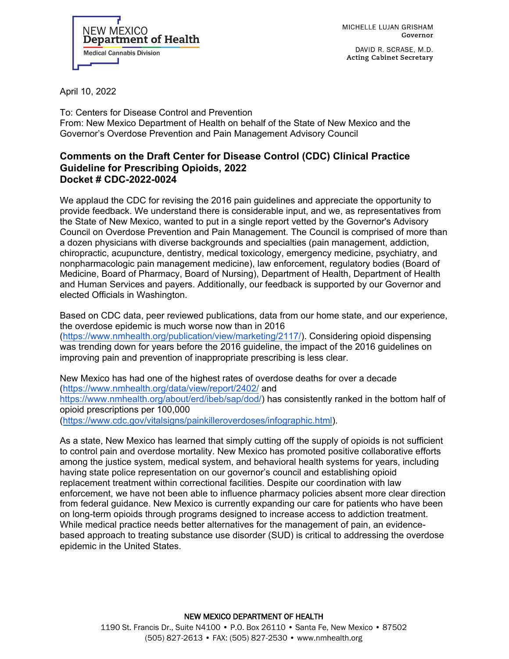

DAVID R. SCRASE, M.D. Acting Cabinet Secretary



April 10, 2022

To: Centers for Disease Control and Prevention From: New Mexico Department of Health on behalf of the State of New Mexico and the Governor's Overdose Prevention and Pain Management Advisory Council

#### **Comments on the Draft Center for Disease Control (CDC) Clinical Practice Guideline for Prescribing Opioids, 2022 Docket # CDC-2022-0024**

We applaud the CDC for revising the 2016 pain guidelines and appreciate the opportunity to provide feedback. We understand there is considerable input, and we, as representatives from the State of New Mexico, wanted to put in a single report vetted by the Governor's Advisory Council on Overdose Prevention and Pain Management. The Council is comprised of more than a dozen physicians with diverse backgrounds and specialties (pain management, addiction, chiropractic, acupuncture, dentistry, medical toxicology, emergency medicine, psychiatry, and nonpharmacologic pain management medicine), law enforcement, regulatory bodies (Board of Medicine, Board of Pharmacy, Board of Nursing), Department of Health, Department of Health and Human Services and payers. Additionally, our feedback is supported by our Governor and elected Officials in Washington.

Based on CDC data, peer reviewed publications, data from our home state, and our experience, the overdose epidemic is much worse now than in 2016 [\(https://www.nmhealth.org/publication/view/marketing/2117/\)](https://www.nmhealth.org/publication/view/marketing/2117/). Considering opioid dispensing was trending down for years before the 2016 guideline, the impact of the 2016 guidelines on improving pain and prevention of inappropriate prescribing is less clear.

New Mexico has had one of the highest rates of over[dose deaths for over](https://www.nmhealth.org/about/erd/ibeb/sap/dod/) a decade [\(https://www.nmhealth.org/data/view/report/2402/](https://www.nmhealth.org/data/view/report/2402/) and [https://www.nmhealth.org/about/erd/ibeb/sap/dod/\)](https://www.nmhealth.org/about/erd/ibeb/sap/dod/) has consistently ranked in the bottom half of opioid prescriptions per 100,000

[\(https://www.cdc.gov/vitalsigns/painkilleroverdoses/infographic.html\)](https://www.zotero.org/google-docs/?Jfi9SD).

As a state, New Mexico has learned that simply cutting off the supply of opioids is not sufficient to control pain and overdose mortality. New Mexico has promoted positive collaborative efforts among the justice system, medical system, and behavioral health systems for years, including having state police representation on our governor's council and establishing opioid replacement treatment within correctional facilities. Despite our coordination with law enforcement, we have not been able to influence pharmacy policies absent more clear direction from federal guidance. New Mexico is currently expanding our care for patients who have been on long-term opioids through programs designed to increase access to addiction treatment. While medical practice needs better alternatives for the management of pain, an evidencebased approach to treating substance use disorder (SUD) is critical to addressing the overdose epidemic in the United States.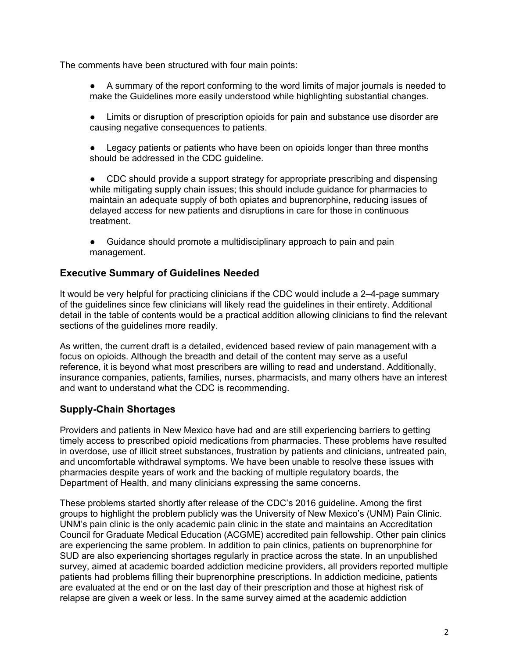The comments have been structured with four main points:

- A summary of the report conforming to the word limits of major journals is needed to make the Guidelines more easily understood while highlighting substantial changes.
- Limits or disruption of prescription opioids for pain and substance use disorder are causing negative consequences to patients.
- Legacy patients or patients who have been on opioids longer than three months should be addressed in the CDC guideline.
- CDC should provide a support strategy for appropriate prescribing and dispensing while mitigating supply chain issues; this should include guidance for pharmacies to maintain an adequate supply of both opiates and buprenorphine, reducing issues of delayed access for new patients and disruptions in care for those in continuous treatment.
- Guidance should promote a multidisciplinary approach to pain and pain management.

## **Executive Summary of Guidelines Needed**

It would be very helpful for practicing clinicians if the CDC would include a 2–4-page summary of the guidelines since few clinicians will likely read the guidelines in their entirety. Additional detail in the table of contents would be a practical addition allowing clinicians to find the relevant sections of the guidelines more readily.

As written, the current draft is a detailed, evidenced based review of pain management with a focus on opioids. Although the breadth and detail of the content may serve as a useful reference, it is beyond what most prescribers are willing to read and understand. Additionally, insurance companies, patients, families, nurses, pharmacists, and many others have an interest and want to understand what the CDC is recommending.

# **Supply-Chain Shortages**

Providers and patients in New Mexico have had and are still experiencing barriers to getting timely access to prescribed opioid medications from pharmacies. These problems have resulted in overdose, use of illicit street substances, frustration by patients and clinicians, untreated pain, and uncomfortable withdrawal symptoms. We have been unable to resolve these issues with pharmacies despite years of work and the backing of multiple regulatory boards, the Department of Health, and many clinicians expressing the same concerns.

These problems started shortly after release of the CDC's 2016 guideline. Among the first groups to highlight the problem publicly was the University of New Mexico's (UNM) Pain Clinic. UNM's pain clinic is the only academic pain clinic in the state and maintains an Accreditation Council for Graduate Medical Education (ACGME) accredited pain fellowship. Other pain clinics are experiencing the same problem. In addition to pain clinics, patients on buprenorphine for SUD are also experiencing shortages regularly in practice across the state. In an unpublished survey, aimed at academic boarded addiction medicine providers, all providers reported multiple patients had problems filling their buprenorphine prescriptions. In addiction medicine, patients are evaluated at the end or on the last day of their prescription and those at highest risk of relapse are given a week or less. In the same survey aimed at the academic addiction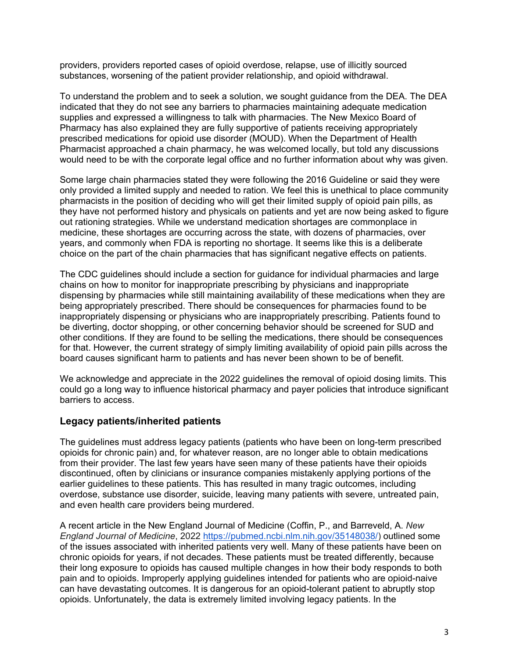providers, providers reported cases of opioid overdose, relapse, use of illicitly sourced substances, worsening of the patient provider relationship, and opioid withdrawal.

To understand the problem and to seek a solution, we sought guidance from the DEA. The DEA indicated that they do not see any barriers to pharmacies maintaining adequate medication supplies and expressed a willingness to talk with pharmacies. The New Mexico Board of Pharmacy has also explained they are fully supportive of patients receiving appropriately prescribed medications for opioid use disorder (MOUD). When the Department of Health Pharmacist approached a chain pharmacy, he was welcomed locally, but told any discussions would need to be with the corporate legal office and no further information about why was given.

Some large chain pharmacies stated they were following the 2016 Guideline or said they were only provided a limited supply and needed to ration. We feel this is unethical to place community pharmacists in the position of deciding who will get their limited supply of opioid pain pills, as they have not performed history and physicals on patients and yet are now being asked to figure out rationing strategies. While we understand medication shortages are commonplace in medicine, these shortages are occurring across the state, with dozens of pharmacies, over years, and commonly when FDA is reporting no shortage. It seems like this is a deliberate choice on the part of the chain pharmacies that has significant negative effects on patients.

The CDC guidelines should include a section for guidance for individual pharmacies and large chains on how to monitor for inappropriate prescribing by physicians and inappropriate dispensing by pharmacies while still maintaining availability of these medications when they are being appropriately prescribed. There should be consequences for pharmacies found to be inappropriately dispensing or physicians who are inappropriately prescribing. Patients found to be diverting, doctor shopping, or other concerning behavior should be screened for SUD and other conditions. If they are found to be selling the medications, there should be consequences for that. However, the current strategy of simply limiting availability of opioid pain pills across the board causes significant harm to patients and has never been shown to be of benefit.

We acknowledge and appreciate in the 2022 guidelines the removal of opioid dosing limits. This could go a long way to influence historical pharmacy and payer policies that introduce significant barriers to access.

### **Legacy patients/inherited patients**

The guidelines must address legacy patients (patients who have been on long-term prescribed opioids for chronic pain) and, for whatever reason, are no longer able to obtain medications from their provider. The last few years have seen many of these patients have their opioids discontinued, often by clinicians or insurance companies mistakenly applying portions of the earlier guidelines to these patients. This has resulted in many tragic outcomes, including overdose, substance use disorder, suicide, leaving many patients with severe, untreated pain, and even health care providers being murdered.

A recent article in the New England Journal of Medicine (Coffin, P., and Barreveld, A. *New England Journal of Medicine*, 2022 [https://pubmed.ncbi.nlm.nih.gov/35148038/\)](https://pubmed.ncbi.nlm.nih.gov/35148038/) outlined some of the issues associated with inherited patients very well. Many of these patients have been on chronic opioids for years, if not decades. These patients must be treated differently, because their long exposure to opioids has caused multiple changes in how their body responds to both pain and to opioids. Improperly applying guidelines intended for patients who are opioid-naive can have devastating outcomes. It is dangerous for an opioid-tolerant patient to abruptly stop opioids. Unfortunately, the data is extremely limited involving legacy patients. In the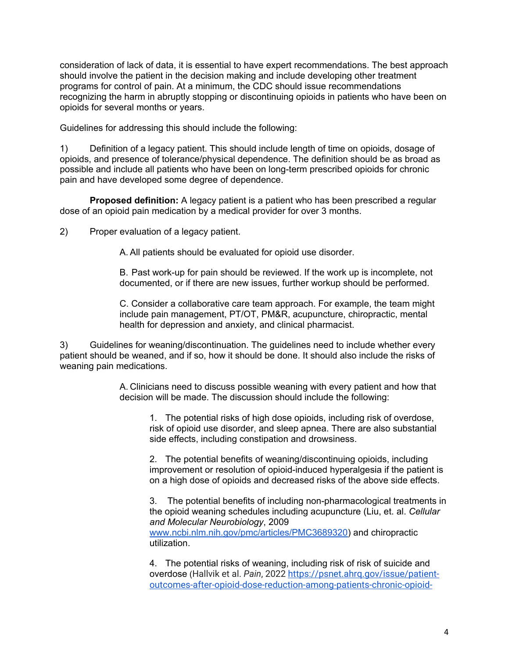consideration of lack of data, it is essential to have expert recommendations. The best approach should involve the patient in the decision making and include developing other treatment programs for control of pain. At a minimum, the CDC should issue recommendations recognizing the harm in abruptly stopping or discontinuing opioids in patients who have been on opioids for several months or years.

Guidelines for addressing this should include the following:

1) Definition of a legacy patient. This should include length of time on opioids, dosage of opioids, and presence of tolerance/physical dependence. The definition should be as broad as possible and include all patients who have been on long-term prescribed opioids for chronic pain and have developed some degree of dependence.

 **Proposed definition:** A legacy patient is a patient who has been prescribed a regular dose of an opioid pain medication by a medical provider for over 3 months.

2) Proper evaluation of a legacy patient.

A. All patients should be evaluated for opioid use disorder.

B. Past work-up for pain should be reviewed. If the work up is incomplete, not documented, or if there are new issues, further workup should be performed.

C. Consider a collaborative care team approach. For example, the team might include pain management, PT/OT, PM&R, acupuncture, chiropractic, mental health for depression and anxiety, and clinical pharmacist.

3) Guidelines for weaning/discontinuation. The guidelines need to include whether every patient should be weaned, and if so, how it should be done. It should also include the risks of weaning pain medications.

> A. Clinicians need to discuss possible weaning with every patient and how that decision will be made. The discussion should include the following:

1. The potential risks of high dose opioids, including risk of overdose, risk of opioid use disorder, and sleep apnea. There are also substantial side effects, including constipation and drowsiness.

2. The potential benefits of weaning/discontinuing opioids, including improvement or resolution of opioid-induced hyperalgesia if the patient is on a high dose of opioids and decreased risks of the above side effects.

3. The potential benefits of including non-pharmacological treatments in the opioid weaning schedules including acupuncture (Liu, et. al. *Cellular and Molecular Neurobiology*, 2009 [www.ncbi.nlm.nih.gov/pmc/articles/PMC3689320\)](http://www.ncbi.nlm.nih.gov/pmc/articles/PMC3689320) and chiropractic utilization.

4. The potential risks of weaning, including risk of risk of suicide and overdose (Hallvik et al. *Pain*, 2022 [https://psnet.ahrq.gov/issue/patient](https://psnet.ahrq.gov/issue/patient-outcomes-after-opioid-dose-reduction-among-patients-chronic-opioid-therapy)[outcomes-after-opioid-dose-reduction-among-patients-chronic-opioid-](https://psnet.ahrq.gov/issue/patient-outcomes-after-opioid-dose-reduction-among-patients-chronic-opioid-therapy)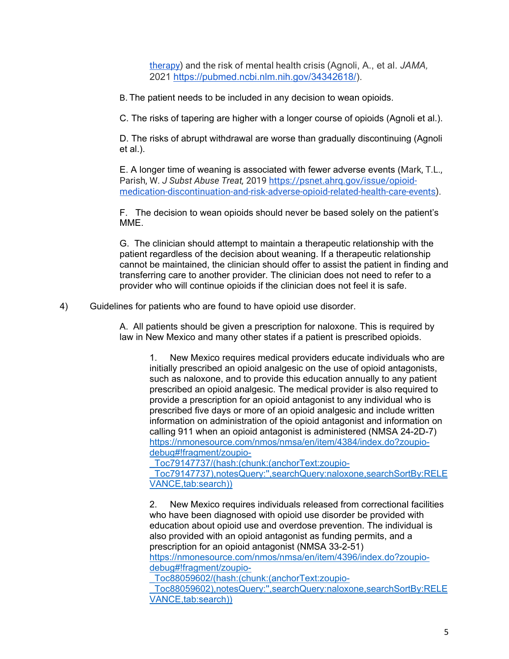[therapy\)](https://psnet.ahrq.gov/issue/patient-outcomes-after-opioid-dose-reduction-among-patients-chronic-opioid-therapy) and the risk of mental health crisis (Agnoli, A., et al. *JAMA,* 2021 [https://pubmed.ncbi.nlm.nih.gov/34342618/\)](https://pubmed.ncbi.nlm.nih.gov/34342618/).

B. The patient needs to be included in any decision to wean opioids.

C. The risks of tapering are higher with a longer course of opioids (Agnoli et al.).

D. The risks of abrupt withdrawal are worse than gradually discontinuing (Agnoli et al.).

E. A longer time of weaning is associated with fewer adverse events (Mark, T.L., Parish, W. *J Subst Abuse Treat,* 2019 [https://psnet.ahrq.gov/issue/opioid](https://psnet.ahrq.gov/issue/opioid-medication-discontinuation-and-risk-adverse-opioid-related-health-care-events)[medication-discontinuation-and-risk-adverse-opioid-related-health-care-events\)](https://psnet.ahrq.gov/issue/opioid-medication-discontinuation-and-risk-adverse-opioid-related-health-care-events).

F. The decision to wean opioids should never be based solely on the patient's MME.

G. The clinician should attempt to maintain a therapeutic relationship with the patient regardless of the decision about weaning. If a therapeutic relationship cannot be maintained, the clinician should offer to assist the patient in finding and transferring care to another provider. The clinician does not need to refer to a provider who will continue opioids if the clinician does not feel it is safe.

4) Guidelines for patients who are found to have opioid use disorder.

A. All patients should be given a prescription for naloxone. This is required by law in New Mexico and many other states if a patient is prescribed opioids.

1. New Mexico requires medical providers educate individuals who are initially prescribed an opioid analgesic on the use of opioid antagonists, such as naloxone, and to provide this education annually to any patient prescribed an opioid analgesic. The medical provider is also required to provide a prescription for an opioid antagonist to any individual who is prescribed five days or more of an opioid analgesic and include written information on administration of the opioid antagonist and information on calling 911 when an opioid antagonist is administered (NMSA 24-2D-7) [https://nmonesource.com/nmos/nmsa/en/item/4384/index.do?zoupio](https://nmonesource.com/nmos/nmsa/en/item/4384/index.do?zoupio-debug#!fragment/zoupio-_Toc79147737/(hash:(chunk:(anchorText:zoupio-_Toc79147737),notesQuery:)[debug#!fragment/zoupio-](https://nmonesource.com/nmos/nmsa/en/item/4384/index.do?zoupio-debug#!fragment/zoupio-_Toc79147737/(hash:(chunk:(anchorText:zoupio-_Toc79147737),notesQuery:)

[\\_Toc79147737/\(hash:\(chunk:\(anchorText:zoupio-](https://nmonesource.com/nmos/nmsa/en/item/4384/index.do?zoupio-debug#!fragment/zoupio-_Toc79147737/(hash:(chunk:(anchorText:zoupio-_Toc79147737),notesQuery:)

[\\_Toc79147737\),notesQuery:'',searchQuery:naloxone,searchSortBy:RELE](https://nmonesource.com/nmos/nmsa/en/item/4384/index.do?zoupio-debug#!fragment/zoupio-_Toc79147737/(hash:(chunk:(anchorText:zoupio-_Toc79147737),notesQuery:) [VANCE,tab:search\)\)](https://nmonesource.com/nmos/nmsa/en/item/4384/index.do?zoupio-debug#!fragment/zoupio-_Toc79147737/(hash:(chunk:(anchorText:zoupio-_Toc79147737),notesQuery:)

2. New Mexico requires individuals released from correctional facilities who have been diagnosed with opioid use disorder be provided with education about opioid use and overdose prevention. The individual is also provided with an opioid antagonist as funding permits, and a prescription for an opioid antagonist (NMSA 33-2-51) [https://nmonesource.com/nmos/nmsa/en/item/4396/index.do?zoupio-](https://nmonesource.com/nmos/nmsa/en/item/4396/index.do?zoupio-debug#!fragment/zoupio-_Toc88059602/(hash:(chunk:(anchorText:zoupio-_Toc88059602),notesQuery:)

[debug#!fragment/zoupio-](https://nmonesource.com/nmos/nmsa/en/item/4396/index.do?zoupio-debug#!fragment/zoupio-_Toc88059602/(hash:(chunk:(anchorText:zoupio-_Toc88059602),notesQuery:)

[\\_Toc88059602/\(hash:\(chunk:\(anchorText:zoupio-](https://nmonesource.com/nmos/nmsa/en/item/4396/index.do?zoupio-debug#!fragment/zoupio-_Toc88059602/(hash:(chunk:(anchorText:zoupio-_Toc88059602),notesQuery:)

[\\_Toc88059602\),notesQuery:'',searchQuery:naloxone,searchSortBy:RELE](https://nmonesource.com/nmos/nmsa/en/item/4396/index.do?zoupio-debug#!fragment/zoupio-_Toc88059602/(hash:(chunk:(anchorText:zoupio-_Toc88059602),notesQuery:) [VANCE,tab:search\)\)](https://nmonesource.com/nmos/nmsa/en/item/4396/index.do?zoupio-debug#!fragment/zoupio-_Toc88059602/(hash:(chunk:(anchorText:zoupio-_Toc88059602),notesQuery:)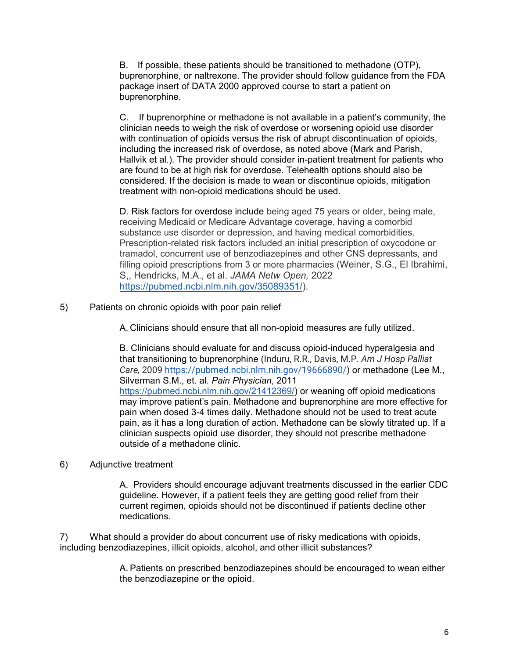B. If possible, these patients should be transitioned to methadone (OTP), buprenorphine, or naltrexone. The provider should follow guidance from the FDA package insert of DATA 2000 approved course to start a patient on buprenorphine.

C. If buprenorphine or methadone is not available in a patient's community, the clinician needs to weigh the risk of overdose or worsening opioid use disorder with continuation of opioids versus the risk of abrupt discontinuation of opioids, including the increased risk of overdose, as noted above (Mark and Parish, Hallvik et al.). The provider should consider in-patient treatment for patients who are found to be at high risk for overdose. Telehealth options should also be considered. If the decision is made to wean or discontinue opioids, mitigation treatment with non-opioid medications should be used.

D. Risk factors for overdose include being aged 75 years or older, being male, receiving Medicaid or Medicare Advantage coverage, having a comorbid substance use disorder or depression, and having medical comorbidities. Prescription-related risk factors included an initial prescription of oxycodone or tramadol, concurrent use of benzodiazepines and other CNS depressants, and filling opioid prescriptions from 3 or more pharmacies (Weiner, S.G., El Ibrahimi, S,, Hendricks, M.A., et al. *JAMA Netw Open,* 2022 [https://pubmed.ncbi.nlm.nih.gov/35089351/\)](https://pubmed.ncbi.nlm.nih.gov/35089351/).

5) Patients on chronic opioids with poor pain relief

A. Clinicians should ensure that all non-opioid measures are fully utilized.

B. Clinicians should evaluate for and discuss opioid-induced hyperalgesia and that transitioning to buprenorphine (Induru, R.R., Davis, M.P. *Am J Hosp Palliat Care,* 2009 [https://pubmed.ncbi.nlm.nih.gov/19666890/\)](https://pubmed.ncbi.nlm.nih.gov/19666890/) or methadone (Lee M., Silverman S.M., et. al. *Pain Physician*, 2011 [https://pubmed.ncbi.nlm.nih.gov/21412369/\)](https://pubmed.ncbi.nlm.nih.gov/21412369/) or weaning off opioid medications may improve patient's pain. Methadone and buprenorphine are more effective for pain when dosed 3-4 times daily. Methadone should not be used to treat acute pain, as it has a long duration of action. Methadone can be slowly titrated up. If a clinician suspects opioid use disorder, they should not prescribe methadone outside of a methadone clinic.

6) Adjunctive treatment

A. Providers should encourage adjuvant treatments discussed in the earlier CDC guideline. However, if a patient feels they are getting good relief from their current regimen, opioids should not be discontinued if patients decline other medications.

7) What should a provider do about concurrent use of risky medications with opioids, including benzodiazepines, illicit opioids, alcohol, and other illicit substances?

> A. Patients on prescribed benzodiazepines should be encouraged to wean either the benzodiazepine or the opioid.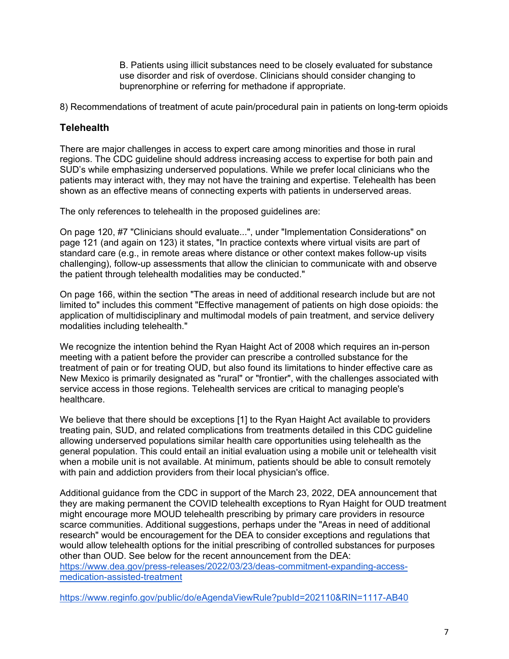B. Patients using illicit substances need to be closely evaluated for substance use disorder and risk of overdose. Clinicians should consider changing to buprenorphine or referring for methadone if appropriate.

8) Recommendations of treatment of acute pain/procedural pain in patients on long-term opioids

### **Telehealth**

There are major challenges in access to expert care among minorities and those in rural regions. The CDC guideline should address increasing access to expertise for both pain and SUD's while emphasizing underserved populations. While we prefer local clinicians who the patients may interact with, they may not have the training and expertise. Telehealth has been shown as an effective means of connecting experts with patients in underserved areas.

The only references to telehealth in the proposed guidelines are:

On page 120, #7 "Clinicians should evaluate...", under "Implementation Considerations" on page 121 (and again on 123) it states, "In practice contexts where virtual visits are part of standard care (e.g., in remote areas where distance or other context makes follow-up visits challenging), follow-up assessments that allow the clinician to communicate with and observe the patient through telehealth modalities may be conducted."

On page 166, within the section "The areas in need of additional research include but are not limited to" includes this comment "Effective management of patients on high dose opioids: the application of multidisciplinary and multimodal models of pain treatment, and service delivery modalities including telehealth."

We recognize the intention behind the Ryan Haight Act of 2008 which requires an in-person meeting with a patient before the provider can prescribe a controlled substance for the treatment of pain or for treating OUD, but also found its limitations to hinder effective care as New Mexico is primarily designated as "rural" or "frontier", with the challenges associated with service access in those regions. Telehealth services are critical to managing people's healthcare.

We believe that there should be exceptions [1] to the Ryan Haight Act available to providers treating pain, SUD, and related complications from treatments detailed in this CDC guideline allowing underserved populations similar health care opportunities using telehealth as the general population. This could entail an initial evaluation using a mobile unit or telehealth visit when a mobile unit is not available. At minimum, patients should be able to consult remotely with pain and addiction providers from their local physician's office.

Additional guidance from the CDC in support of the March 23, 2022, DEA announcement that they are making permanent the COVID telehealth exceptions to Ryan Haight for OUD treatment might encourage more MOUD telehealth prescribing by primary care providers in resource scarce communities. Additional suggestions, perhaps under the "Areas in need of additional research" would be encouragement for the DEA to consider exceptions and regulations that would allow telehealth options for the initial prescribing of controlled substances for purposes other than OUD. See below for the recent announcement from the DEA:

[https://www.dea.gov/press-releases/2022/03/23/deas-commitment-expanding-access](https://www.dea.gov/press-releases/2022/03/23/deas-commitment-expanding-access-medication-assisted-treatment)[medication-assisted-treatment](https://www.dea.gov/press-releases/2022/03/23/deas-commitment-expanding-access-medication-assisted-treatment)

<https://www.reginfo.gov/public/do/eAgendaViewRule?pubId=202110&RIN=1117-AB40>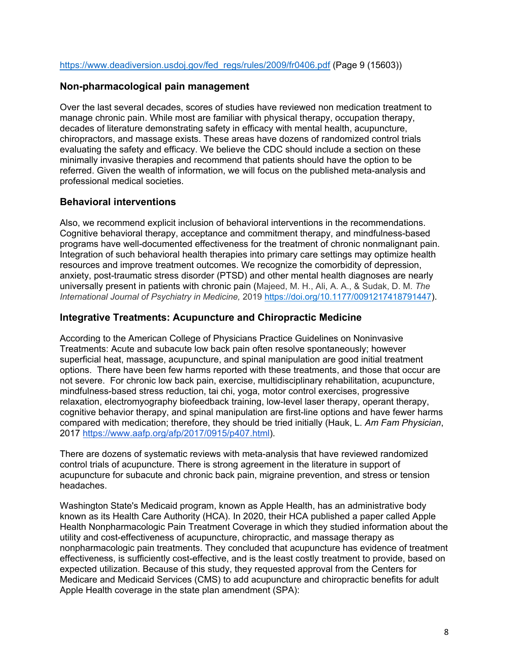### **Non-pharmacological pain management**

Over the last several decades, scores of studies have reviewed non medication treatment to manage chronic pain. While most are familiar with physical therapy, occupation therapy, decades of literature demonstrating safety in efficacy with mental health, acupuncture, chiropractors, and massage exists. These areas have dozens of randomized control trials evaluating the safety and efficacy. We believe the CDC should include a section on these minimally invasive therapies and recommend that patients should have the option to be referred. Given the wealth of information, we will focus on the published meta-analysis and professional medical societies.

## **Behavioral interventions**

Also, we recommend explicit inclusion of behavioral interventions in the recommendations. Cognitive behavioral therapy, acceptance and commitment therapy, and mindfulness-based programs have well-documented effectiveness for the treatment of chronic nonmalignant pain. Integration of such behavioral health therapies into primary care settings may optimize health resources and improve treatment outcomes. We recognize the comorbidity of depression, anxiety, post-traumatic stress disorder (PTSD) and other mental health diagnoses are nearly universally present in patients with chronic pain (Majeed, M. H., Ali, A. A., & Sudak, D. M. *The International Journal of Psychiatry in Medicine,* 2019 [https://doi.org/10.1177/0091217418791447\)](https://doi.org/10.1177%2F0091217418791447).

## **Integrative Treatments: Acupuncture and Chiropractic Medicine**

According to the American College of Physicians Practice Guidelines on Noninvasive Treatments: Acute and subacute low back pain often resolve spontaneously; however superficial heat, massage, acupuncture, and spinal manipulation are good initial treatment options. There have been few harms reported with these treatments, and those that occur are not severe. For chronic low back pain, exercise, multidisciplinary rehabilitation, acupuncture, mindfulness-based stress reduction, tai chi, yoga, motor control exercises, progressive relaxation, electromyography biofeedback training, low-level laser therapy, operant therapy, cognitive behavior therapy, and spinal manipulation are first-line options and have fewer harms compared with medication; therefore, they should be tried initially (Hauk, L. *Am Fam Physician*, 2017 [https://www.aafp.org/afp/2017/0915/p407.html\)](https://www.aafp.org/afp/2017/0915/p407.html).

There are dozens of systematic reviews with meta-analysis that have reviewed randomized control trials of acupuncture. There is strong agreement in the literature in support of acupuncture for subacute and chronic back pain, migraine prevention, and stress or tension headaches.

Washington State's Medicaid program, known as Apple Health, has an administrative body known as its Health Care Authority (HCA). In 2020, their HCA published a paper called Apple Health Nonpharmacologic Pain Treatment Coverage in which they studied information about the utility and cost-effectiveness of acupuncture, chiropractic, and massage therapy as nonpharmacologic pain treatments. They concluded that acupuncture has evidence of treatment effectiveness, is sufficiently cost-effective, and is the least costly treatment to provide, based on expected utilization. Because of this study, they requested approval from the Centers for Medicare and Medicaid Services (CMS) to add acupuncture and chiropractic benefits for adult Apple Health coverage in the state plan amendment (SPA):